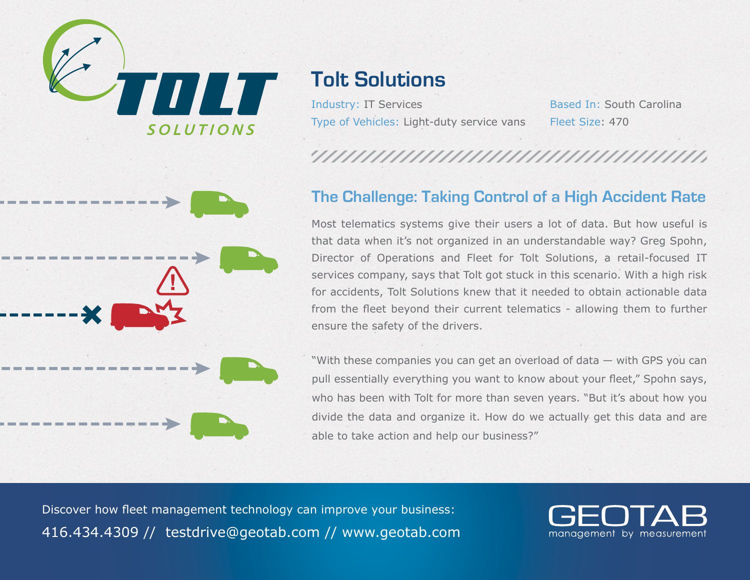

# **Tolt Solutions**

Industry: IT Services Based In: South Carolina Type of Vehicles: Light-duty service vans Fleet Size: 470

## **The Challenge: Taking Control of a High Accident Rate**

Most telematics systems give their users a lot of data. But how useful is that data when it's not organized in an understandable way? Greg Spohn, Director of Operations and Fleet for Tolt Solutions, a retail-focused IT services company, says that Tolt got stuck in this scenario. With a high risk for accidents, Tolt Solutions knew that it needed to obtain actionable data from the fleet beyond their current telematics - allowing them to further ensure the safety of the drivers.

"With these companies you can get an overload of data — with GPS you can pull essentially everything you want to know about your fleet," Spohn says, who has been with Tolt for more than seven years. "But it's about how you divide the data and organize it. How do we actually get this data and are able to take action and help our business?"

Discover how fleet management technology can improve your business: 416.434.4309 // testdrive@geotab.com // www.geotab.com

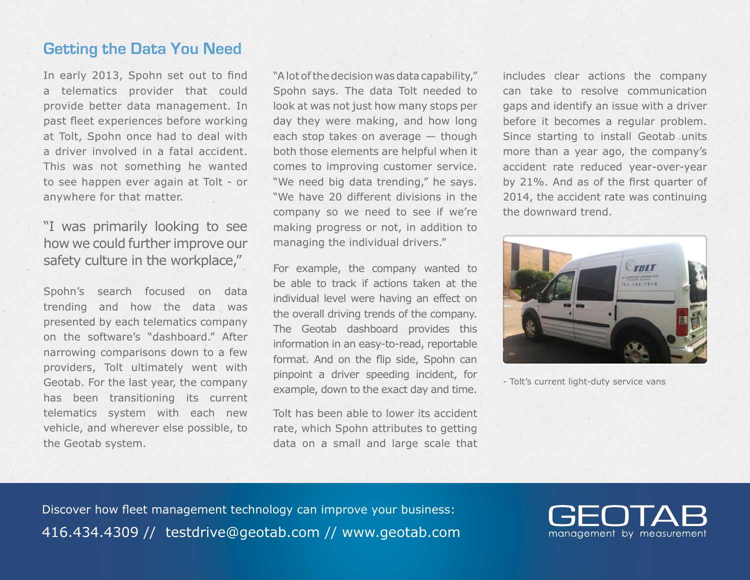### **Getting the Data You Need**

In early 2013, Spohn set out to find a telematics provider that could provide better data management. In past fleet experiences before working at Tolt, Spohn once had to deal with a driver involved in a fatal accident. This was not something he wanted to see happen ever again at Tolt - or anywhere for that matter.

"I was primarily looking to see how we could further improve our safety culture in the workplace,"

Spohn's search focused on data trending and how the data was presented by each telematics company on the software's "dashboard." After narrowing comparisons down to a few providers, Tolt ultimately went with Geotab. For the last year, the company has been transitioning its current telematics system with each new vehicle, and wherever else possible, to the Geotab system.

"A lot of the decision was data capability," Spohn says. The data Tolt needed to look at was not just how many stops per day they were making, and how long each stop takes on average — though both those elements are helpful when it comes to improving customer service. "We need big data trending," he says. "We have 20 different divisions in the company so we need to see if we're making progress or not, in addition to managing the individual drivers."

For example, the company wanted to be able to track if actions taken at the individual level were having an effect on the overall driving trends of the company. The Geotab dashboard provides this information in an easy-to-read, reportable format. And on the flip side, Spohn can pinpoint a driver speeding incident, for example, down to the exact day and time.

Tolt has been able to lower its accident rate, which Spohn attributes to getting data on a small and large scale that includes clear actions the company can take to resolve communication gaps and identify an issue with a driver before it becomes a regular problem. Since starting to install Geotab units more than a year ago, the company's accident rate reduced year-over-year by 21%. And as of the first quarter of 2014, the accident rate was continuing the downward trend.



- Tolt's current light-duty service vans

Discover how fleet management technology can improve your business: 416.434.4309 // testdrive@geotab.com // www.geotab.com